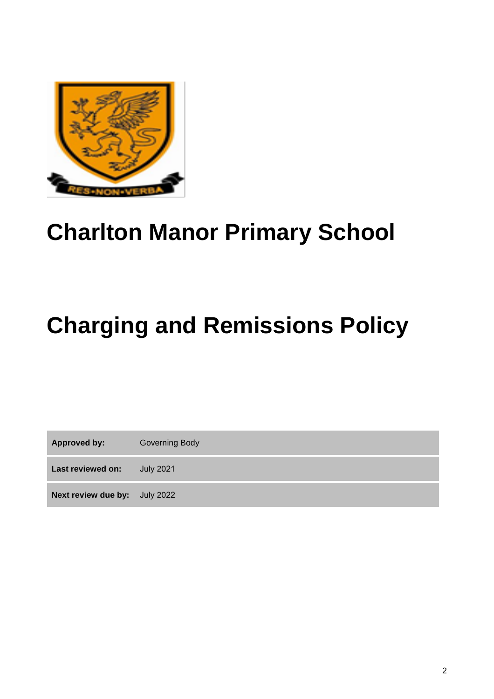

## **Charlton Manor Primary School**

# **Charging and Remissions Policy**

**Approved by:** Governing Body

**Last reviewed on:** July 2021

**Next review due by:** July 2022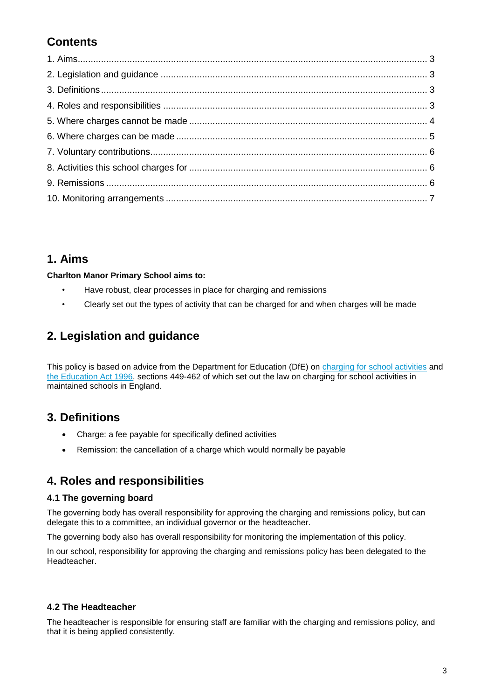## **Contents**

## **1. Aims**

#### **Charlton Manor Primary School aims to:**

- Have robust, clear processes in place for charging and remissions
- Clearly set out the types of activity that can be charged for and when charges will be made

## **2. Legislation and guidance**

This policy is based on advice from the Department for Education (DfE) on [charging for school activities](https://www.gov.uk/government/publications/charging-for-school-activities) and [the Education Act 1996,](http://www.legislation.gov.uk/ukpga/1996/56/part/VI/chapter/III) sections 449-462 of which set out the law on charging for school activities in maintained schools in England.

## **3. Definitions**

- Charge: a fee payable for specifically defined activities
- Remission: the cancellation of a charge which would normally be payable

## **4. Roles and responsibilities**

#### **4.1 The governing board**

The governing body has overall responsibility for approving the charging and remissions policy, but can delegate this to a committee, an individual governor or the headteacher.

The governing body also has overall responsibility for monitoring the implementation of this policy.

In our school, responsibility for approving the charging and remissions policy has been delegated to the Headteacher.

#### **4.2 The Headteacher**

The headteacher is responsible for ensuring staff are familiar with the charging and remissions policy, and that it is being applied consistently.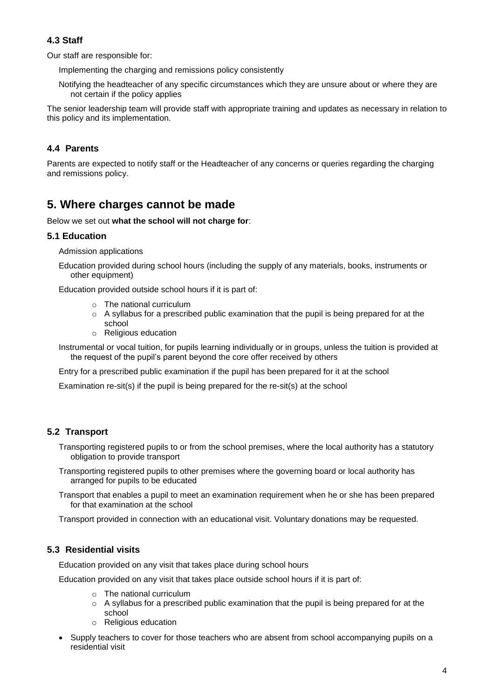#### **4.3 Staff**

Our staff are responsible for:

Implementing the charging and remissions policy consistently

Notifying the headteacher of any specific circumstances which they are unsure about or where they are not certain if the policy applies

The senior leadership team will provide staff with appropriate training and updates as necessary in relation to this policy and its implementation.

#### **4.4 Parents**

Parents are expected to notify staff or the Headteacher of any concerns or queries regarding the charging and remissions policy.

## **5. Where charges cannot be made**

Below we set out **what the school will not charge for**:

#### **5.1 Education**

Admission applications

Education provided during school hours (including the supply of any materials, books, instruments or other equipment)

Education provided outside school hours if it is part of:

- o The national curriculum
- $\circ$  A syllabus for a prescribed public examination that the pupil is being prepared for at the school
- o Religious education

Instrumental or vocal tuition, for pupils learning individually or in groups, unless the tuition is provided at the request of the pupil's parent beyond the core offer received by others

Entry for a prescribed public examination if the pupil has been prepared for it at the school

Examination re-sit(s) if the pupil is being prepared for the re-sit(s) at the school

#### **5.2 Transport**

- Transporting registered pupils to or from the school premises, where the local authority has a statutory obligation to provide transport
- Transporting registered pupils to other premises where the governing board or local authority has arranged for pupils to be educated
- Transport that enables a pupil to meet an examination requirement when he or she has been prepared for that examination at the school

Transport provided in connection with an educational visit. Voluntary donations may be requested.

#### **5.3 Residential visits**

Education provided on any visit that takes place during school hours

Education provided on any visit that takes place outside school hours if it is part of:

- o The national curriculum
- $\circ$  A syllabus for a prescribed public examination that the pupil is being prepared for at the school
- o Religious education
- Supply teachers to cover for those teachers who are absent from school accompanying pupils on a residential visit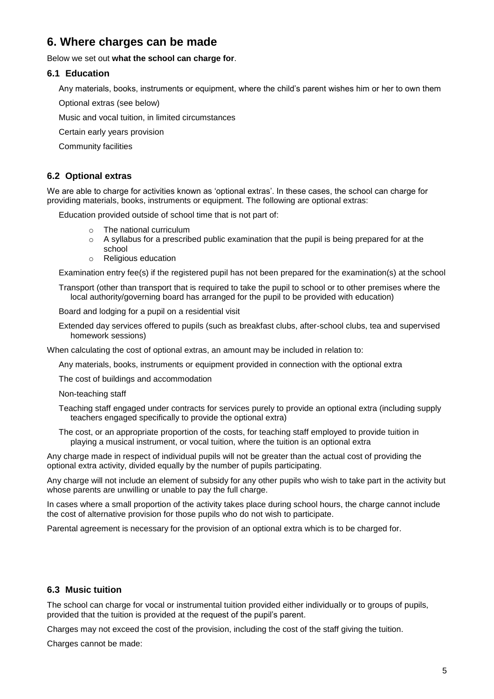## **6. Where charges can be made**

#### Below we set out **what the school can charge for**.

#### **6.1 Education**

Any materials, books, instruments or equipment, where the child's parent wishes him or her to own them

Optional extras (see below)

Music and vocal tuition, in limited circumstances

Certain early years provision

Community facilities

#### **6.2 Optional extras**

We are able to charge for activities known as 'optional extras'. In these cases, the school can charge for providing materials, books, instruments or equipment. The following are optional extras:

Education provided outside of school time that is not part of:

- o The national curriculum
- $\circ$  A syllabus for a prescribed public examination that the pupil is being prepared for at the school
- o Religious education

Examination entry fee(s) if the registered pupil has not been prepared for the examination(s) at the school

Transport (other than transport that is required to take the pupil to school or to other premises where the local authority/governing board has arranged for the pupil to be provided with education)

Board and lodging for a pupil on a residential visit

Extended day services offered to pupils (such as breakfast clubs, after-school clubs, tea and supervised homework sessions)

When calculating the cost of optional extras, an amount may be included in relation to:

Any materials, books, instruments or equipment provided in connection with the optional extra

The cost of buildings and accommodation

Non-teaching staff

Teaching staff engaged under contracts for services purely to provide an optional extra (including supply teachers engaged specifically to provide the optional extra)

The cost, or an appropriate proportion of the costs, for teaching staff employed to provide tuition in playing a musical instrument, or vocal tuition, where the tuition is an optional extra

Any charge made in respect of individual pupils will not be greater than the actual cost of providing the optional extra activity, divided equally by the number of pupils participating.

Any charge will not include an element of subsidy for any other pupils who wish to take part in the activity but whose parents are unwilling or unable to pay the full charge.

In cases where a small proportion of the activity takes place during school hours, the charge cannot include the cost of alternative provision for those pupils who do not wish to participate.

Parental agreement is necessary for the provision of an optional extra which is to be charged for.

#### **6.3 Music tuition**

The school can charge for vocal or instrumental tuition provided either individually or to groups of pupils, provided that the tuition is provided at the request of the pupil's parent.

Charges may not exceed the cost of the provision, including the cost of the staff giving the tuition.

Charges cannot be made: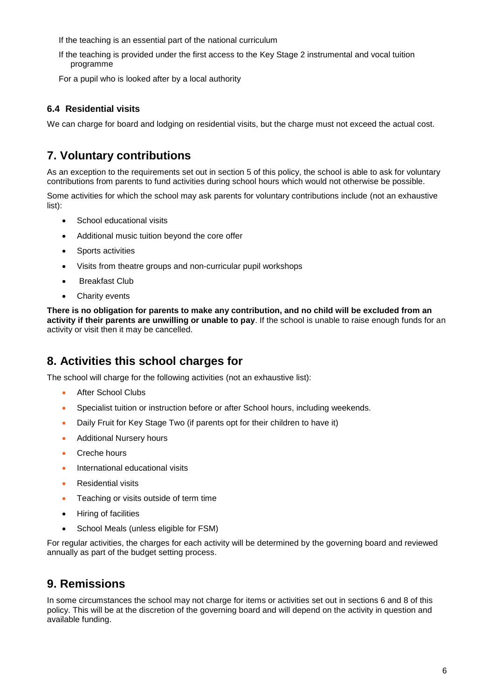If the teaching is an essential part of the national curriculum

If the teaching is provided under the first access to the Key Stage 2 instrumental and vocal tuition programme

For a pupil who is looked after by a local authority

#### **6.4 Residential visits**

We can charge for board and lodging on residential visits, but the charge must not exceed the actual cost.

## **7. Voluntary contributions**

As an exception to the requirements set out in section 5 of this policy, the school is able to ask for voluntary contributions from parents to fund activities during school hours which would not otherwise be possible.

Some activities for which the school may ask parents for voluntary contributions include (not an exhaustive list):

- School educational visits
- Additional music tuition beyond the core offer
- Sports activities
- Visits from theatre groups and non-curricular pupil workshops
- Breakfast Club
- Charity events

**There is no obligation for parents to make any contribution, and no child will be excluded from an activity if their parents are unwilling or unable to pay**. If the school is unable to raise enough funds for an activity or visit then it may be cancelled.

## **8. Activities this school charges for**

The school will charge for the following activities (not an exhaustive list):

- After School Clubs
- Specialist tuition or instruction before or after School hours, including weekends.
- Daily Fruit for Key Stage Two (if parents opt for their children to have it)
- Additional Nursery hours
- Creche hours
- International educational visits
- Residential visits
- **•** Teaching or visits outside of term time
- Hiring of facilities
- School Meals (unless eligible for FSM)

For regular activities, the charges for each activity will be determined by the governing board and reviewed annually as part of the budget setting process.

## **9. Remissions**

In some circumstances the school may not charge for items or activities set out in sections 6 and 8 of this policy. This will be at the discretion of the governing board and will depend on the activity in question and available funding.